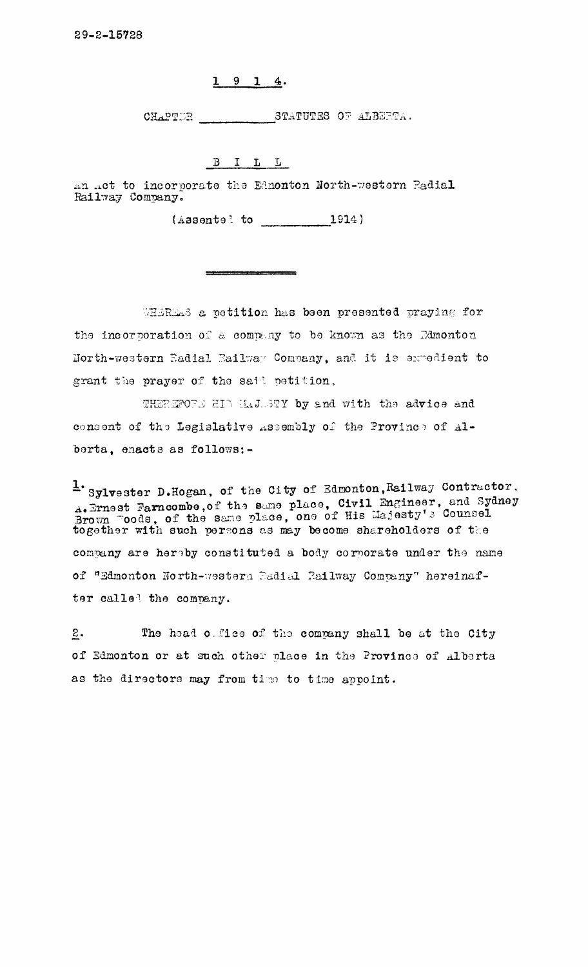## $1914$

CHAPTER STATUTES OF ALBERTA.

 $B I L L$ 

an act to incorporate the Ednonton North-western Padial Railway Company.

 $(Assonto: to \t 1914)$ 

WHEREAS a petition has been presented praying for the incorporation of a company to be known as the Edmonton Horth-western Eadial Railway Convany, and it is expedient to grant the prayer of the said petition,

THEREFORE HID MAJUSTY by and with the advice and consent of the Legislative Assembly of the Province of Alberta, enacts as follows:-

<sup>1</sup> Sylvester D.Hogan, of the City of Edmonton, Railway Contractor, A. Ernest Farncombe, of the same place, Civil Engineer, and Sydney<br>Brown Toods, of the same place, one of His Majesty's Counsel<br>together with such persons as may become shareholders of the company are hereby constituted a body corporate under the name of "Edmonton North-western Badial Railway Company" hereinafter called the company.

 $\underline{2}$ . The head office of the company shall be at the City of Edmonton or at such other place in the Province of Alberta as the directors may from time to time appoint.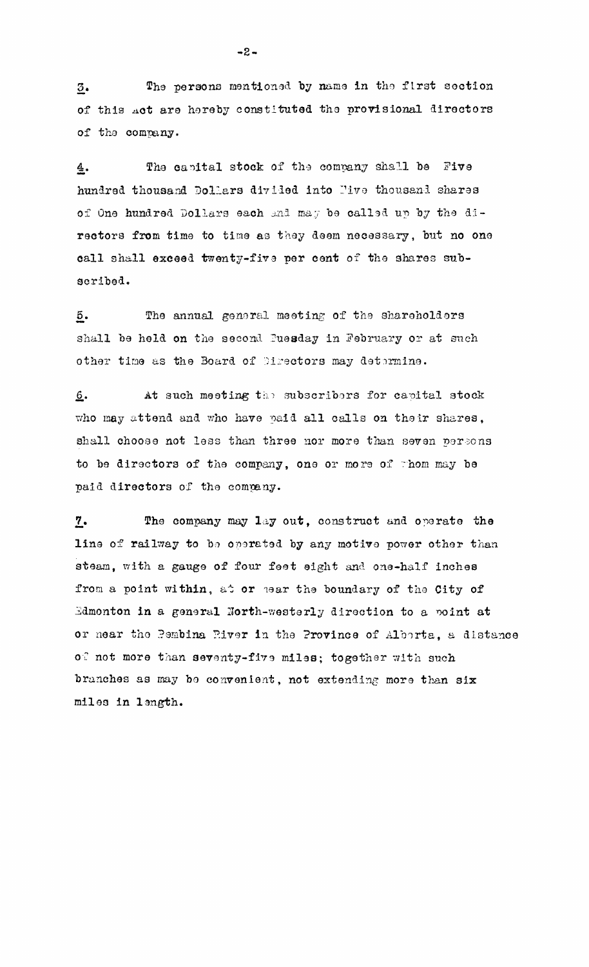The persons mentioned by name in the first section  $\overline{3}$ . of this Act are hereby constituted the provisional directors of the company.

The capital stock of the company shall be Five 4. hundred thousand Dollars divided into Pive thousand shares of One hundred Dollars each and may be called up by the directors from time to time as they deem necessary, but no one call shall exceed twenty-five per cent of the shares subscribed.

The annual general meeting of the shareholders  $\overline{5}$ . shall be held on the second Puesday in February or at such other time as the Board of Directors may determine.

At such meeting the subscribers for capital stock <u>، 6</u> who may attend and who have paid all calls on their shares, shall choose not less than three nor more than seven persons to be directors of the company, one or more of thom may be paid directors of the company.

The company may lay out, construct and operate the  $\mathbf{Z}$ line of railway to be operated by any motive power other than steam, with a gauge of four feet eight and one-half inches from a point within, at or hear the boundary of the City of Edmonton in a general North-westerly direction to a point at or near the Pembina River in the Province of Alborta, a distance of not more than seventy-five miles; together with such branches as may be convenient, not extending more than six miles in length.

 $-2-$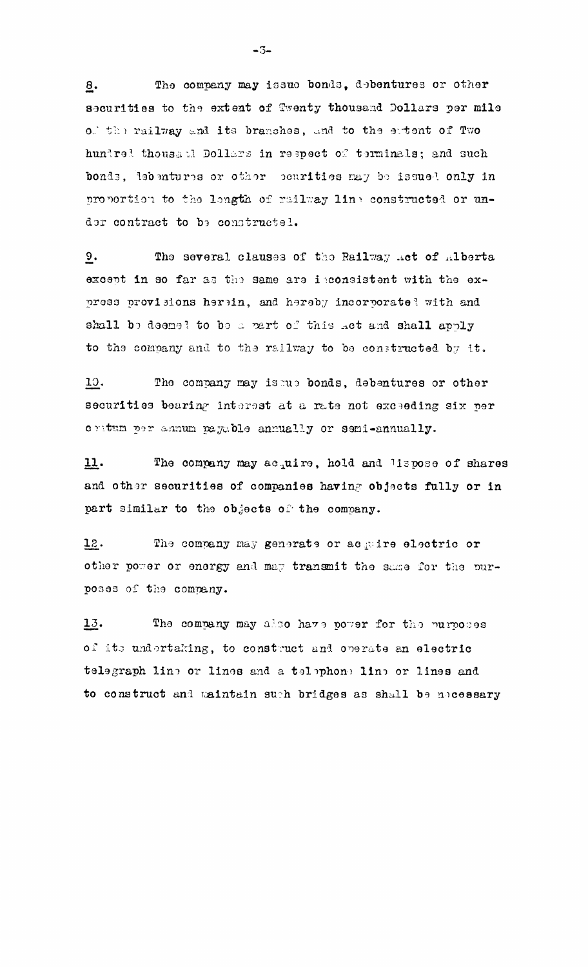The company may issue bonds, debentures or other  $\underline{8}$ . securities to the extent of Twenty thousand Dollars per mile of the railway and its branches, and to the extent of Two hundred thousand Dollars in respect of terminals; and such bonds, lebentures or other courities may be issued only in proportion to the longth of railway line constructed or undor contract to be constructel.

 $9.$ The several clauses of the Railway Act of Alberta except in so far as the same are isconsistent with the express provisions herein, and hereby incorporatel with and shall be deemed to be a part of this act and shall apply to the company and to the railway to be constructed by it.

10. The company may issue bonds, debentures or other securities bearing interest at a rate not exceeding six per critum per annum pagable annually or semi-annually.

The company may acquire, hold and lispose of shares 11. and other securities of companies having objects fully or in part similar to the objects of the company.

The company may generate or acquire electric or 12. other power or energy and may transmit the same for the purposes of the company.

13. The company may also have power for the purposes of its undertaking, to construct and operate an electric telegraph line or lines and a telephone line or lines and to construct and maintain such bridges as shall be modesary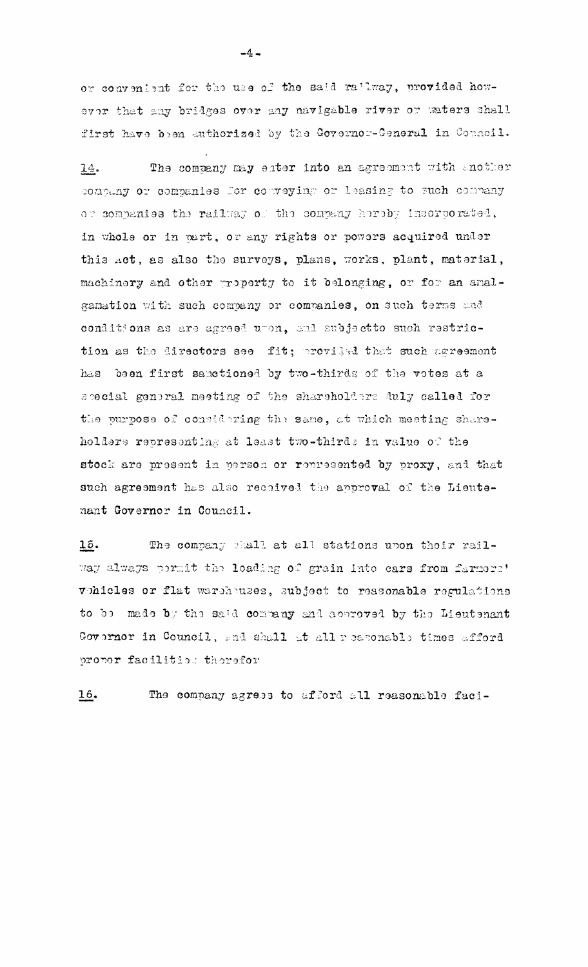or convenient for the use of the said railway, provided however that any bridges over any navigable river or waters shall first have been authorized by the Governor-General in Council.

The company may enter into an agreement with another  $14.$ company or companies for copreying or leasing to such conpany or companies the railway of the company hereby incorporated, in whole or in part, or any rights or powers acquired under this Act, as also the surveys, plans, works, plant, material, machinery and other property to it belonging, or for an amalgamation with such company or companies, on such terms and conditions as are agreed umon, and subjectto such restriction as the directors see fit; proviled that such agreement has been first sametioned by two-thirds of the votes at a special general meeting of the shareholders duly called for the purpose of considering the same, at which meeting shareholders representing at least two-thirds in value of the stock are present in person or represented by proxy, and that such agreement has also received the approval of the Lieutenant Governor in Council.

15. The company shall at all stations upon their railway always permit the loading of grain into cars from farmers' vohicles or flat warehouses, subject to reasonable regulations to be made by the said company and approved by the Lieutenant Governor in Council, and shall at all reasonable times afford propor facilities therefor

 $16.$ The company agrees to afford all reasonable faci-

 $-4-$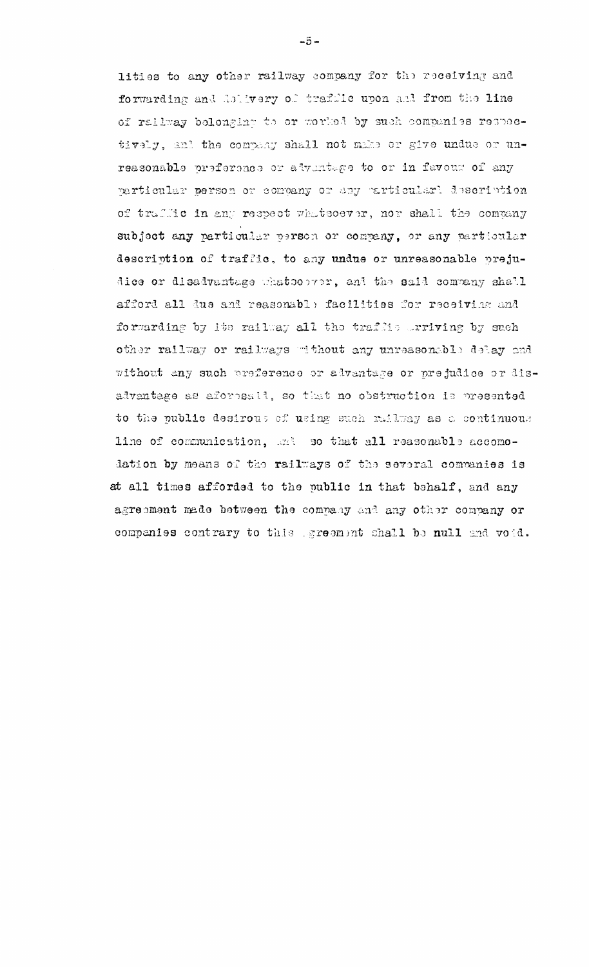lities to any other railway company for the receiving and forwarding and delivery of trafflic upon and from the line of railway belonging to or worked by such companies recoedtively, and the company shall not make or give undue or unreasonable preference or adventage to or in favour of any particular person or company or any particularl description of traffic in any respect whatsoever, nor shall the company subject any particular person or company, or any particular description of traffic, to any undue or unreasonable prejudice or disadvantage whatsoover, and the said company shall afford all due and reasonable facilities for receiving and forwarding by its railway all the traffic arriving by such other railway or railways without any unreasonable delay and without any such preference or advantage or prejudice or disadvantage as aforosall, so that no obstruction is presented to the public desirous of using such mallway as a continuous line of communication, and so that all reasonable accomodation by means of the railways of the several commanies is at all times afforded to the public in that behalf, and any agreement made between the company and any other company or companies contrary to this greement shall be null and void.

 $-5-$